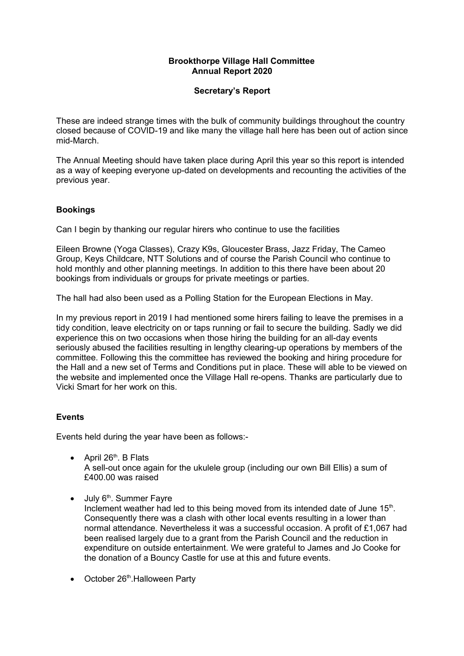## **Brookthorpe Village Hall Committee Annual Report 2020**

#### **Secretary's Report**

These are indeed strange times with the bulk of community buildings throughout the country closed because of COVID-19 and like many the village hall here has been out of action since mid-March.

The Annual Meeting should have taken place during April this year so this report is intended as a way of keeping everyone up-dated on developments and recounting the activities of the previous year.

## **Bookings**

Can I begin by thanking our regular hirers who continue to use the facilities

Eileen Browne (Yoga Classes), Crazy K9s, Gloucester Brass, Jazz Friday, The Cameo Group, Keys Childcare, NTT Solutions and of course the Parish Council who continue to hold monthly and other planning meetings. In addition to this there have been about 20 bookings from individuals or groups for private meetings or parties.

The hall had also been used as a Polling Station for the European Elections in May.

In my previous report in 2019 I had mentioned some hirers failing to leave the premises in a tidy condition, leave electricity on or taps running or fail to secure the building. Sadly we did experience this on two occasions when those hiring the building for an all-day events seriously abused the facilities resulting in lengthy clearing-up operations by members of the committee. Following this the committee has reviewed the booking and hiring procedure for the Hall and a new set of Terms and Conditions put in place. These will able to be viewed on the website and implemented once the Village Hall re-opens. Thanks are particularly due to Vicki Smart for her work on this.

## **Events**

Events held during the year have been as follows:-

• April  $26<sup>th</sup>$ . B Flats

A sell-out once again for the ukulele group (including our own Bill Ellis) a sum of £400.00 was raised

 $\bullet$  July 6<sup>th</sup>. Summer Fayre

Inclement weather had led to this being moved from its intended date of June  $15<sup>th</sup>$ . Consequently there was a clash with other local events resulting in a lower than normal attendance. Nevertheless it was a successful occasion. A profit of £1,067 had been realised largely due to a grant from the Parish Council and the reduction in expenditure on outside entertainment. We were grateful to James and Jo Cooke for the donation of a Bouncy Castle for use at this and future events.

 $\bullet$  October 26<sup>th</sup>.Halloween Party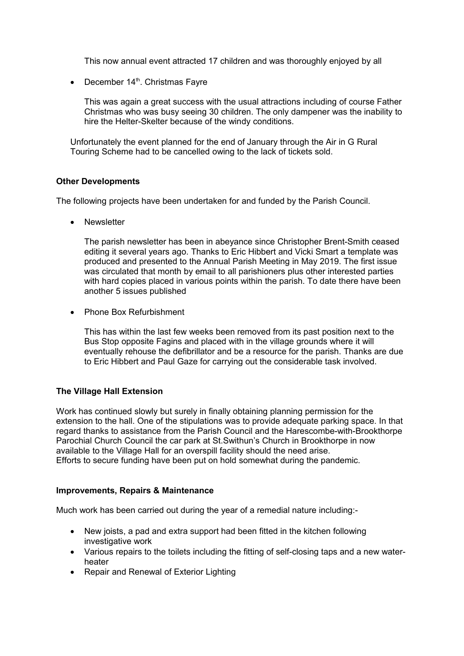This now annual event attracted 17 children and was thoroughly enjoyed by all

 $\bullet$  December 14<sup>th</sup>. Christmas Fayre

This was again a great success with the usual attractions including of course Father Christmas who was busy seeing 30 children. The only dampener was the inability to hire the Helter-Skelter because of the windy conditions.

Unfortunately the event planned for the end of January through the Air in G Rural Touring Scheme had to be cancelled owing to the lack of tickets sold.

#### **Other Developments**

The following projects have been undertaken for and funded by the Parish Council.

• Newsletter

The parish newsletter has been in abeyance since Christopher Brent-Smith ceased editing it several years ago. Thanks to Eric Hibbert and Vicki Smart a template was produced and presented to the Annual Parish Meeting in May 2019. The first issue was circulated that month by email to all parishioners plus other interested parties with hard copies placed in various points within the parish. To date there have been another 5 issues published

• Phone Box Refurbishment

This has within the last few weeks been removed from its past position next to the Bus Stop opposite Fagins and placed with in the village grounds where it will eventually rehouse the defibrillator and be a resource for the parish. Thanks are due to Eric Hibbert and Paul Gaze for carrying out the considerable task involved.

## **The Village Hall Extension**

Work has continued slowly but surely in finally obtaining planning permission for the extension to the hall. One of the stipulations was to provide adequate parking space. In that regard thanks to assistance from the Parish Council and the Harescombe-with-Brookthorpe Parochial Church Council the car park at St.Swithun's Church in Brookthorpe in now available to the Village Hall for an overspill facility should the need arise. Efforts to secure funding have been put on hold somewhat during the pandemic.

#### **Improvements, Repairs & Maintenance**

Much work has been carried out during the year of a remedial nature including:-

- New joists, a pad and extra support had been fitted in the kitchen following investigative work
- Various repairs to the toilets including the fitting of self-closing taps and a new waterheater
- Repair and Renewal of Exterior Lighting